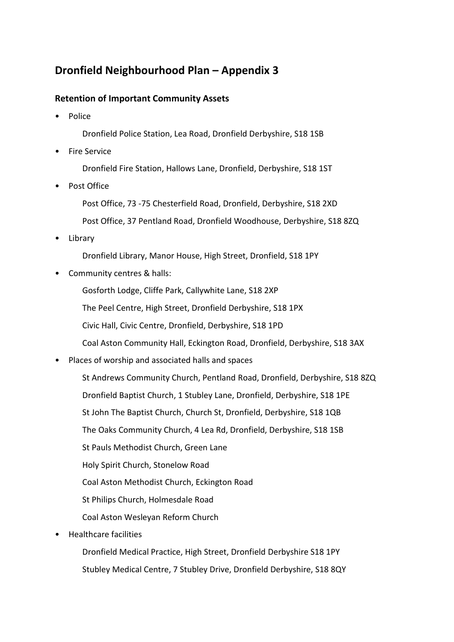## **Dronfield Neighbourhood Plan – Appendix 3**

## **Retention of Important Community Assets**

• Police

Dronfield Police Station, Lea Road, Dronfield Derbyshire, S18 1SB

• Fire Service

Dronfield Fire Station, Hallows Lane, Dronfield, Derbyshire, S18 1ST

• Post Office

Post Office, 73 -75 Chesterfield Road, Dronfield, Derbyshire, S18 2XD Post Office, 37 Pentland Road, Dronfield Woodhouse, Derbyshire, S18 8ZQ

• Library

Dronfield Library, Manor House, High Street, Dronfield, S18 1PY

• Community centres & halls:

Gosforth Lodge, Cliffe Park, Callywhite Lane, S18 2XP

The Peel Centre, High Street, Dronfield Derbyshire, S18 1PX

Civic Hall, Civic Centre, Dronfield, Derbyshire, S18 1PD

Coal Aston Community Hall, Eckington Road, Dronfield, Derbyshire, S18 3AX

• Places of worship and associated halls and spaces

St Andrews Community Church, Pentland Road, Dronfield, Derbyshire, S18 8ZQ Dronfield Baptist Church, 1 Stubley Lane, Dronfield, Derbyshire, S18 1PE St John The Baptist Church, Church St, Dronfield, Derbyshire, S18 1QB The Oaks Community Church, 4 Lea Rd, Dronfield, Derbyshire, S18 1SB St Pauls Methodist Church, Green Lane Holy Spirit Church, Stonelow Road Coal Aston Methodist Church, Eckington Road St Philips Church, Holmesdale Road Coal Aston Wesleyan Reform Church

• Healthcare facilities

Dronfield Medical Practice, High Street, Dronfield Derbyshire S18 1PY Stubley Medical Centre, 7 Stubley Drive, Dronfield Derbyshire, S18 8QY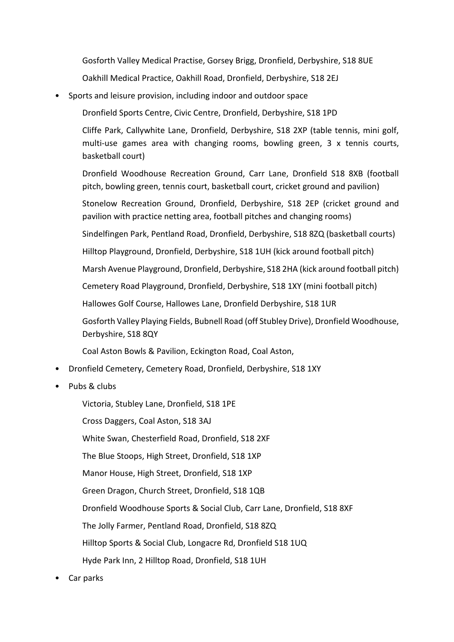Gosforth Valley Medical Practise, Gorsey Brigg, Dronfield, Derbyshire, S18 8UE

Oakhill Medical Practice, Oakhill Road, Dronfield, Derbyshire, S18 2EJ

• Sports and leisure provision, including indoor and outdoor space

Dronfield Sports Centre, Civic Centre, Dronfield, Derbyshire, S18 1PD

Cliffe Park, Callywhite Lane, Dronfield, Derbyshire, S18 2XP (table tennis, mini golf, multi-use games area with changing rooms, bowling green, 3 x tennis courts, basketball court)

Dronfield Woodhouse Recreation Ground, Carr Lane, Dronfield S18 8XB (football pitch, bowling green, tennis court, basketball court, cricket ground and pavilion)

Stonelow Recreation Ground, Dronfield, Derbyshire, S18 2EP (cricket ground and pavilion with practice netting area, football pitches and changing rooms)

Sindelfingen Park, Pentland Road, Dronfield, Derbyshire, S18 8ZQ (basketball courts)

Hilltop Playground, Dronfield, Derbyshire, S18 1UH (kick around football pitch)

Marsh Avenue Playground, Dronfield, Derbyshire, S18 2HA (kick around football pitch)

Cemetery Road Playground, Dronfield, Derbyshire, S18 1XY (mini football pitch)

Hallowes Golf Course, Hallowes Lane, Dronfield Derbyshire, S18 1UR

Gosforth Valley Playing Fields, Bubnell Road (off Stubley Drive), Dronfield Woodhouse, Derbyshire, S18 8QY

Coal Aston Bowls & Pavilion, Eckington Road, Coal Aston,

- Dronfield Cemetery, Cemetery Road, Dronfield, Derbyshire, S18 1XY
- Pubs & clubs

Victoria, Stubley Lane, Dronfield, S18 1PE Cross Daggers, Coal Aston, S18 3AJ White Swan, Chesterfield Road, Dronfield, S18 2XF The Blue Stoops, High Street, Dronfield, S18 1XP Manor House, High Street, Dronfield, S18 1XP Green Dragon, Church Street, Dronfield, S18 1QB Dronfield Woodhouse Sports & Social Club, Carr Lane, Dronfield, S18 8XF The Jolly Farmer, Pentland Road, Dronfield, S18 8ZQ Hilltop Sports & Social Club, Longacre Rd, Dronfield S18 1UQ Hyde Park Inn, 2 Hilltop Road, Dronfield, S18 1UH

Car parks